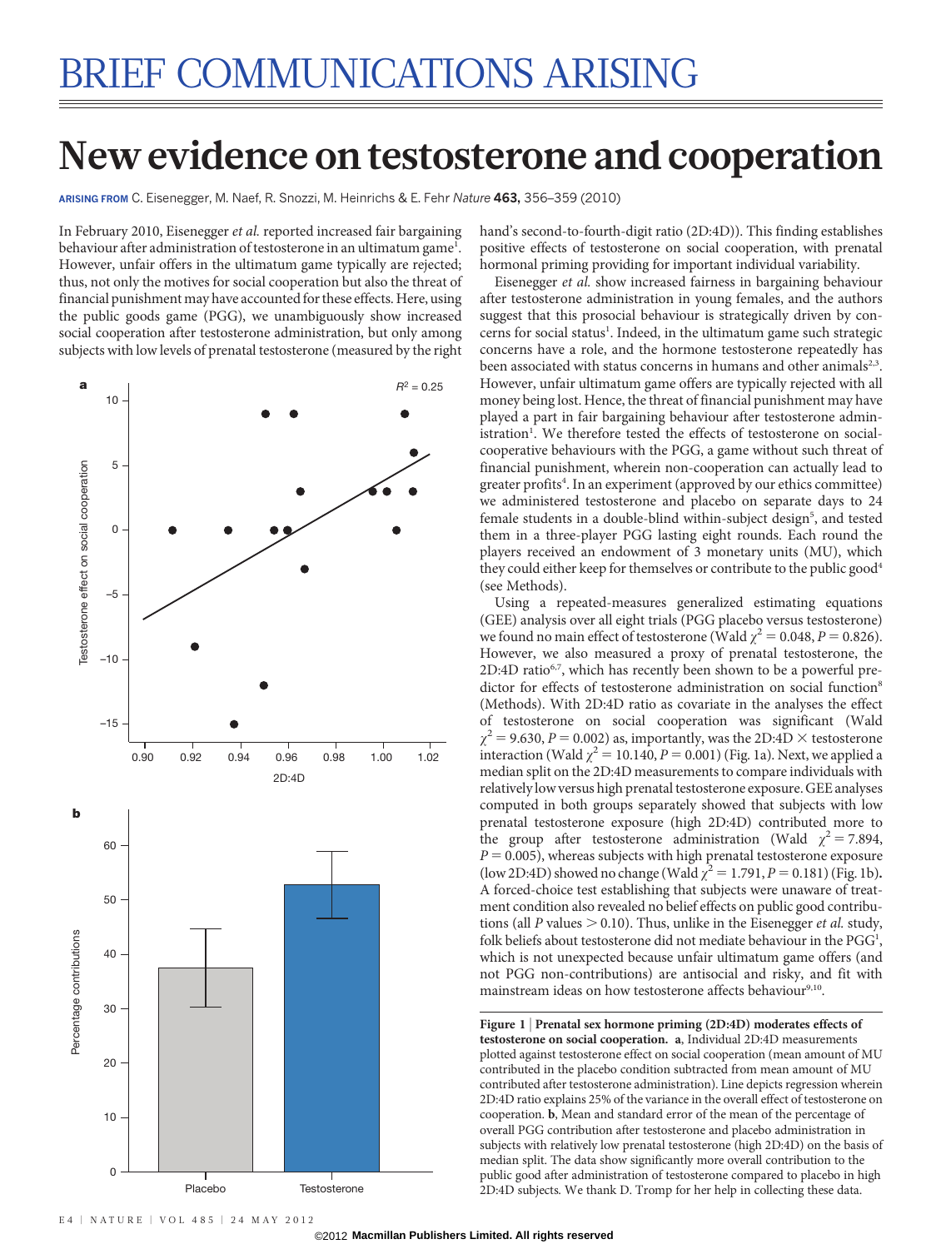# New evidence on testosterone and cooperation

ARISING FROM C. Eisenegger, M. Naef, R. Snozzi, M. Heinrichs & E. Fehr Nature 463, 356–359 (2010)

In February 2010, Eisenegger et al. reported increased fair bargaining behaviour after administration of testosterone in an ultimatum game<sup>1</sup>. However, unfair offers in the ultimatum game typically are rejected; thus, not only the motives for social cooperation but also the threat of financial punishment may have accounted for these effects. Here, using the public goods game (PGG), we unambiguously show increased social cooperation after testosterone administration, but only among subjects with low levels of prenatal testosterone (measured by the right



hand's second-to-fourth-digit ratio (2D:4D)). This finding establishes positive effects of testosterone on social cooperation, with prenatal hormonal priming providing for important individual variability.

Eisenegger et al. show increased fairness in bargaining behaviour after testosterone administration in young females, and the authors suggest that this prosocial behaviour is strategically driven by concerns for social status<sup>1</sup>. Indeed, in the ultimatum game such strategic concerns have a role, and the hormone testosterone repeatedly has been associated with status concerns in humans and other animals<sup>2,3</sup>. However, unfair ultimatum game offers are typically rejected with all money being lost. Hence, the threat of financial punishment may have played a part in fair bargaining behaviour after testosterone administration<sup>1</sup>. We therefore tested the effects of testosterone on socialcooperative behaviours with the PGG, a game without such threat of financial punishment, wherein non-cooperation can actually lead to greater profits<sup>4</sup>. In an experiment (approved by our ethics committee) we administered testosterone and placebo on separate days to 24 female students in a double-blind within-subject design<sup>5</sup>, and tested them in a three-player PGG lasting eight rounds. Each round the players received an endowment of 3 monetary units (MU), which they could either keep for themselves or contribute to the public good<sup>4</sup> (see Methods).

Using a repeated-measures generalized estimating equations (GEE) analysis over all eight trials (PGG placebo versus testosterone) we found no main effect of testosterone (Wald  $\chi^2 = 0.048$ ,  $P = 0.826$ ). However, we also measured a proxy of prenatal testosterone, the 2D:4D ratio<sup>6,7</sup>, which has recently been shown to be a powerful predictor for effects of testosterone administration on social function<sup>8</sup> (Methods). With 2D:4D ratio as covariate in the analyses the effect of testosterone on social cooperation was significant (Wald  $\chi^2$  = 9.630, *P* = 0.002) as, importantly, was the 2D:4D  $\times$  testosterone interaction (Wald  $\chi^2$  = 10.140, *P* = 0.001) (Fig. 1a). Next, we applied a median split on the 2D:4D measurements to compare individuals with relatively low versus high prenatal testosterone exposure. GEE analyses computed in both groups separately showed that subjects with low prenatal testosterone exposure (high 2D:4D) contributed more to the group after testosterone administration (Wald  $\chi^2 = 7.894$ ,  $P = 0.005$ ), whereas subjects with high prenatal testosterone exposure (low 2D:4D) showed no change (Wald  $\chi^2 = 1.791$ ,  $P = 0.181$ ) (Fig. 1b). A forced-choice test establishing that subjects were unaware of treatment condition also revealed no belief effects on public good contributions (all P values  $> 0.10$ ). Thus, unlike in the Eisenegger *et al.* study, folk beliefs about testosterone did not mediate behaviour in the PGG<sup>1</sup>, which is not unexpected because unfair ultimatum game offers (and not PGG non-contributions) are antisocial and risky, and fit with mainstream ideas on how testosterone affects behaviour<sup>9,10</sup>.

Figure 1 <sup>|</sup> Prenatal sex hormone priming (2D:4D) moderates effects of testosterone on social cooperation. a, Individual 2D:4D measurements plotted against testosterone effect on social cooperation (mean amount of MU contributed in the placebo condition subtracted from mean amount of MU contributed after testosterone administration). Line depicts regression wherein 2D:4D ratio explains 25% of the variance in the overall effect of testosterone on cooperation. b, Mean and standard error of the mean of the percentage of overall PGG contribution after testosterone and placebo administration in subjects with relatively low prenatal testosterone (high 2D:4D) on the basis of median split. The data show significantly more overall contribution to the public good after administration of testosterone compared to placebo in high 2D:4D subjects. We thank D. Tromp for her help in collecting these data.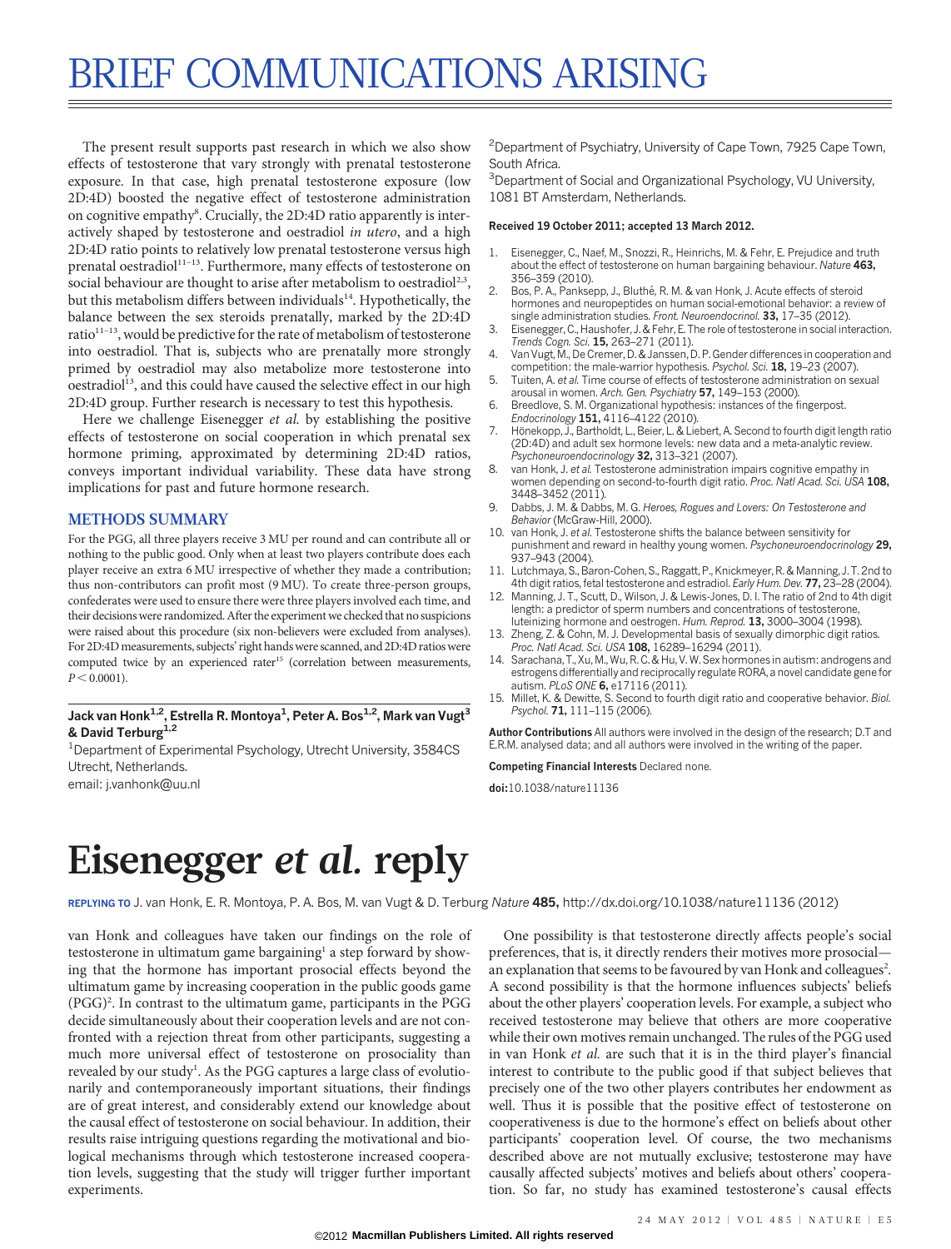# BRIEF COMMUNICATIONS ARISING

The present result supports past research in which we also show effects of testosterone that vary strongly with prenatal testosterone exposure. In that case, high prenatal testosterone exposure (low 2D:4D) boosted the negative effect of testosterone administration on cognitive empathy<sup>8</sup>. Crucially, the 2D:4D ratio apparently is interactively shaped by testosterone and oestradiol in utero, and a high 2D:4D ratio points to relatively low prenatal testosterone versus high prenatal oestradiol<sup>11-13</sup>. Furthermore, many effects of testosterone on social behaviour are thought to arise after metabolism to oestradiol<sup>2,3</sup>, but this metabolism differs between individuals<sup>14</sup>. Hypothetically, the balance between the sex steroids prenatally, marked by the 2D:4D ratio<sup>11-13</sup>, would be predictive for the rate of metabolism of testosterone into oestradiol. That is, subjects who are prenatally more strongly primed by oestradiol may also metabolize more testosterone into oestradiol<sup>13</sup>, and this could have caused the selective effect in our high 2D:4D group. Further research is necessary to test this hypothesis.

Here we challenge Eisenegger et al. by establishing the positive effects of testosterone on social cooperation in which prenatal sex hormone priming, approximated by determining 2D:4D ratios, conveys important individual variability. These data have strong implications for past and future hormone research.

## METHODS SUMMARY

For the PGG, all three players receive 3 MU per round and can contribute all or nothing to the public good. Only when at least two players contribute does each player receive an extra 6 MU irrespective of whether they made a contribution; thus non-contributors can profit most (9 MU). To create three-person groups, confederates were used to ensure there were three players involved each time, and their decisions were randomized. After the experiment we checked that no suspicions were raised about this procedure (six non-believers were excluded from analyses). For 2D:4D measurements, subjects' right hands were scanned, and 2D:4D ratios were computed twice by an experienced rater<sup>15</sup> (correlation between measurements,  $P < 0.0001$ ).

## Jack van Honk<sup>1,2</sup>, Estrella R. Montoya<sup>1</sup>, Peter A. Bos<sup>1,2</sup>, Mark van Vugt<sup>3</sup> & David Terburg<sup>1,2</sup>

<sup>1</sup>Department of Experimental Psychology, Utrecht University, 3584CS Utrecht, Netherlands.

email: j.vanhonk@uu.nl

<sup>2</sup> Department of Psychiatry, University of Cape Town, 7925 Cape Town, South Africa.

<sup>3</sup>Department of Social and Organizational Psychology, VU University, 1081 BT Amsterdam, Netherlands.

#### Received 19 October 2011; accepted 13 March 2012.

- 1. Eisenegger, C., Naef, M., Snozzi, R., Heinrichs, M. & Fehr, E. Prejudice and truth about the effect of testosterone on human bargaining behaviour. Nature 463, 356–359 (2010).
- 2. Bos, P. A., Panksepp, J., Bluthé, R. M. & van Honk, J. Acute effects of steroid hormones and neuropeptides on human social-emotional behavior: a review of single administration studies. Front. Neuroendocrinol. 33, 17–35 (2012).
- 3. Eisenegger, C., Haushofer, J. & Fehr, E. The role of testosterone in social interaction. Trends Cogn. Sci. 15, 263–271 (2011).
- 4. Van Vugt, M., De Cremer, D. & Janssen, D. P. Gender differences in cooperation and competition: the male-warrior hypothesis. Psychol. Sci. 18, 19–23 (2007).
- 5. Tuiten, A. et al. Time course of effects of testosterone administration on sexual arousal in women. Arch. Gen. Psychiatry 57, 149-153 (2000)
- 6. Breedlove, S. M. Organizational hypothesis: instances of the fingerpost. Endocrinology 151, 4116–4122 (2010).
- Hönekopp, J., Bartholdt, L., Beier, L. & Liebert, A. Second to fourth digit length ratio (2D:4D) and adult sex hormone levels: new data and a meta-analytic review. Psychoneuroendocrinology 32, 313-321 (2007).
- van Honk, J. et al. Testosterone administration impairs cognitive empathy in women depending on second-to-fourth digit ratio. Proc. Natl Acad. Sci. USA 108, 3448–3452 (2011).
- 9. Dabbs, J. M. & Dabbs, M. G. Heroes, Rogues and Lovers: On Testosterone and Behavior (McGraw-Hill, 2000).
- 10. van Honk, J. et al. Testosterone shifts the balance between sensitivity for punishment and reward in healthy young women. Psychoneuroendocrinology 29, 937–943 (2004).
- 11. Lutchmaya, S., Baron-Cohen, S., Raggatt, P., Knickmeyer, R. & Manning, J. T. 2nd to 4th digit ratios, fetal testosterone and estradiol. Early Hum. Dev. 77, 23–28 (2004).
- 12. Manning, J. T., Scutt, D., Wilson, J. & Lewis-Jones, D. I. The ratio of 2nd to 4th digit length: a predictor of sperm numbers and concentrations of testosterone, luteinizing hormone and oestrogen. Hum. Reprod. 13, 3000–3004 (1998).
- 13. Zheng, Z. & Cohn, M. J. Developmental basis of sexually dimorphic digit ratios. Proc. Natl Acad. Sci. USA 108, 16289–16294 (2011).
- 14. Sarachana, T., Xu, M., Wu, R. C. & Hu, V. W. Sex hormones in autism: androgens and estrogens differentially and reciprocally regulate RORA, a novel candidate gene for autism. PLoS ONE 6, e17116 (2011).
- 15. Millet, K. & Dewitte, S. Second to fourth digit ratio and cooperative behavior. Biol. Psychol. 71, 111-115 (2006).

Author Contributions All authors were involved in the design of the research; D.T and E.R.M. analysed data; and all authors were involved in the writing of the paper.

Competing Financial Interests Declared none.

doi:10.1038/nature11136

## Eisenegger et al. reply

REPLYING TO J. van Honk, E. R. Montoya, P. A. Bos, M. van Vugt & D. Terburg Nature 485, <http://dx.doi.org/10.1038/nature11136> (2012)

van Honk and colleagues have taken our findings on the role of testosterone in ultimatum game bargaining<sup>1</sup> a step forward by showing that the hormone has important prosocial effects beyond the ultimatum game by increasing cooperation in the public goods game (PGG)<sup>2</sup>. In contrast to the ultimatum game, participants in the PGG decide simultaneously about their cooperation levels and are not confronted with a rejection threat from other participants, suggesting a much more universal effect of testosterone on prosociality than revealed by our study<sup>1</sup>. As the PGG captures a large class of evolutionarily and contemporaneously important situations, their findings are of great interest, and considerably extend our knowledge about the causal effect of testosterone on social behaviour. In addition, their results raise intriguing questions regarding the motivational and biological mechanisms through which testosterone increased cooperation levels, suggesting that the study will trigger further important experiments.

One possibility is that testosterone directly affects people's social preferences, that is, it directly renders their motives more prosocial an explanation that seems to be favoured by van Honk and colleagues<sup>2</sup>. A second possibility is that the hormone influences subjects' beliefs about the other players' cooperation levels. For example, a subject who received testosterone may believe that others are more cooperative while their own motives remain unchanged. The rules of the PGG used in van Honk et al. are such that it is in the third player's financial interest to contribute to the public good if that subject believes that precisely one of the two other players contributes her endowment as well. Thus it is possible that the positive effect of testosterone on cooperativeness is due to the hormone's effect on beliefs about other participants' cooperation level. Of course, the two mechanisms described above are not mutually exclusive; testosterone may have causally affected subjects' motives and beliefs about others' cooperation. So far, no study has examined testosterone's causal effects